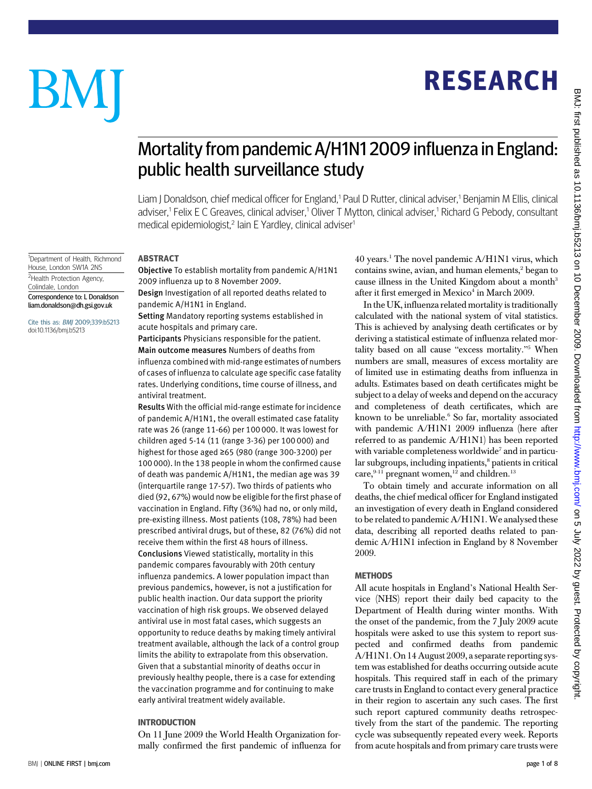# **RESEARCH** RESEARCH

# BM

# Mortality from pandemic A/H1N1 2009 influenza in England: public health surveillance study

Liam J Donaldson, chief medical officer for England,<sup>1</sup> Paul D Rutter, clinical adviser,<sup>1</sup> Benjamin M Ellis, clinical adviser,<sup>1</sup> Felix E C Greaves, clinical adviser,<sup>1</sup> Oliver T Mytton, clinical adviser,<sup>1</sup> Richard G Pebody, consultant medical epidemiologist,<sup>2</sup> Iain E Yardley, clinical adviser<sup>1</sup>

<sup>1</sup>Department of Health, Richmond House, London SW1A 2NS <sup>2</sup> Health Protection Agency, Colindale, London Correspondence to: L Donaldson liam.donaldson@dh.gsi.gov.uk

Cite this as: BMJ 2009;339:b5213 doi:10.1136/bmj.b5213

-----------<br>Objective To establish mortality from pandemic A/H1N1 2009 influenza up to 8 November 2009. Design Investigation of all reported deaths related to pandemic A/H1N1 in England.

Setting Mandatory reporting systems established in acute hospitals and primary care.

**ABSTRACT** 

Participants Physicians responsible for the patient. Main outcome measures Numbers of deaths from influenza combined with mid-range estimates of numbers of cases of influenza to calculate age specific case fatality rates. Underlying conditions, time course of illness, and antiviral treatment.

Results With the official mid-range estimate for incidence of pandemic A/H1N1, the overall estimated case fatality rate was 26 (range 11-66) per 100 000. It was lowest for children aged 5-14 (11 (range 3-36) per 100 000) and highest for those aged ≥65 (980 (range 300-3200) per 100 000). In the 138 people in whom the confirmed cause of death was pandemic A/H1N1, the median age was 39 (interquartile range 17-57). Two thirds of patients who died (92, 67%) would now be eligible for the first phase of vaccination in England. Fifty (36%) had no, or only mild, pre-existing illness. Most patients (108, 78%) had been prescribed antiviral drugs, but of these, 82 (76%) did not receive them within the first 48 hours of illness. Conclusions Viewed statistically, mortality in this pandemic compares favourably with 20th century influenza pandemics. A lower population impact than previous pandemics, however, is not a justification for public health inaction. Our data support the priority vaccination of high risk groups. We observed delayed antiviral use in most fatal cases, which suggests an opportunity to reduce deaths by making timely antiviral treatment available, although the lack of a control group limits the ability to extrapolate from this observation. Given that a substantial minority of deaths occur in previously healthy people, there is a case for extending the vaccination programme and for continuing to make early antiviral treatment widely available.

# **INTRODUCTION**

On 11 June 2009 the World Health Organization formally confirmed the first pandemic of influenza for  $40$  years.<sup>1</sup> The novel pandemic A/H1N1 virus, which contains swine, avian, and human elements,<sup>2</sup> began to cause illness in the United Kingdom about a month<sup>3</sup> after it first emerged in Mexico<sup>4</sup> in March 2009.

In the UK, influenza related mortality is traditionally calculated with the national system of vital statistics. This is achieved by analysing death certificates or by deriving a statistical estimate of influenza related mortality based on all cause "excess mortality."<sup>5</sup> When numbers are small, measures of excess mortality are of limited use in estimating deaths from influenza in adults. Estimates based on death certificates might be subject to a delay of weeks and depend on the accuracy and completeness of death certificates, which are known to be unreliable.<sup>6</sup> So far, mortality associated with pandemic A/H1N1 2009 influenza (here after referred to as pandemic A/H1N1) has been reported with variable completeness worldwide<sup>7</sup> and in particular subgroups, including inpatients, ${}^{8}$  patients in critical care,  $9-11$  pregnant women,  $12$  and children.  $13$ 

To obtain timely and accurate information on all deaths, the chief medical officer for England instigated an investigation of every death in England considered to be related to pandemic A/H1N1. We analysed these data, describing all reported deaths related to pandemic A/H1N1 infection in England by 8 November 2009.

METHODS All acute hospitals in England's National Health Service (NHS) report their daily bed capacity to the Department of Health during winter months. With the onset of the pandemic, from the 7 July 2009 acute hospitals were asked to use this system to report suspected and confirmed deaths from pandemic A/H1N1. On 14 August 2009, a separate reporting system was established for deaths occurring outside acute hospitals. This required staff in each of the primary care trusts in England to contact every general practice in their region to ascertain any such cases. The first such report captured community deaths retrospectively from the start of the pandemic. The reporting cycle was subsequently repeated every week. Reports from acute hospitals and from primary care trusts were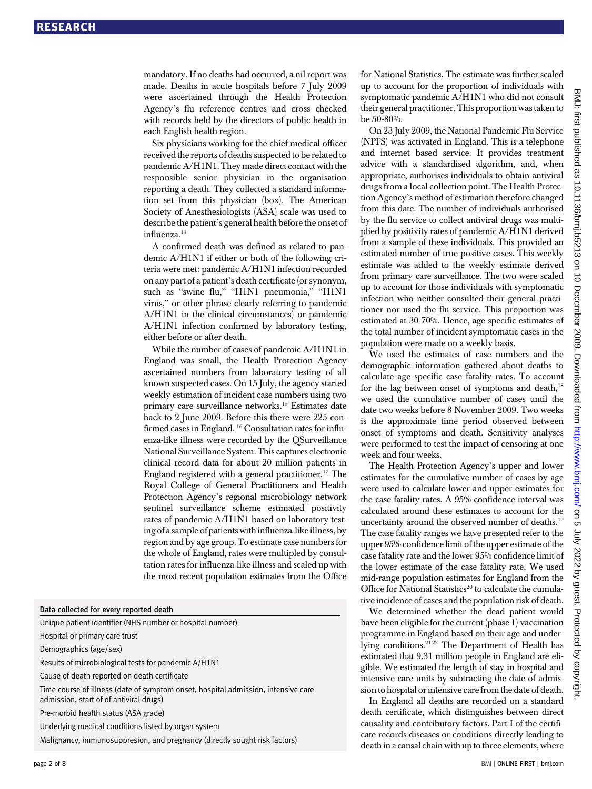mandatory. If no deaths had occurred, a nil report was made. Deaths in acute hospitals before 7 July 2009 were ascertained through the Health Protection Agency's flu reference centres and cross checked with records held by the directors of public health in each English health region.

Six physicians working for the chief medical officer received the reports of deaths suspected to be related to pandemic A/H1N1. They made direct contact with the responsible senior physician in the organisation reporting a death. They collected a standard information set from this physician (box). The American Society of Anesthesiologists (ASA) scale was used to describe the patient's general health before the onset of influenza.<sup>14</sup>

A confirmed death was defined as related to pandemic A/H1N1 if either or both of the following criteria were met: pandemic A/H1N1 infection recorded on any part of a patient's death certificate (or synonym, such as "swine flu," "H1N1 pneumonia," "H1N1 virus," or other phrase clearly referring to pandemic A/H1N1 in the clinical circumstances) or pandemic A/H1N1 infection confirmed by laboratory testing, either before or after death.

While the number of cases of pandemic A/H1N1 in England was small, the Health Protection Agency ascertained numbers from laboratory testing of all known suspected cases. On 15 July, the agency started weekly estimation of incident case numbers using two primary care surveillance networks.<sup>15</sup> Estimates date back to 2 June 2009. Before this there were 225 confirmed cases in England.<sup>16</sup> Consultation rates for influenza-like illness were recorded by the QSurveillance National Surveillance System. This captures electronic clinical record data for about 20 million patients in England registered with a general practitioner.17 The Royal College of General Practitioners and Health Protection Agency's regional microbiology network sentinel surveillance scheme estimated positivity rates of pandemic A/H1N1 based on laboratory testing of a sample of patients with influenza-like illness, by region and by age group. To estimate case numbers for the whole of England, rates were multipled by consultation rates for influenza-like illness and scaled up with the most recent population estimates from the Office

| Data collected for every reported death                                                                                      |
|------------------------------------------------------------------------------------------------------------------------------|
| Unique patient identifier (NHS number or hospital number)                                                                    |
| Hospital or primary care trust                                                                                               |
| Demographics (age/sex)                                                                                                       |
| Results of microbiological tests for pandemic A/H1N1                                                                         |
| Cause of death reported on death certificate                                                                                 |
| Time course of illness (date of symptom onset, hospital admission, intensive care<br>admission, start of of antiviral drugs) |
| Pre-morbid health status (ASA grade)                                                                                         |
| Underlying medical conditions listed by organ system                                                                         |
| Malignancy, immunosuppresion, and pregnancy (directly sought risk factors)                                                   |

for National Statistics. The estimate was further scaled up to account for the proportion of individuals with symptomatic pandemic A/H1N1 who did not consult their general practitioner. This proportion was taken to be 50-80%.

On 23 July 2009, the National Pandemic Flu Service (NPFS) was activated in England. This is a telephone and internet based service. It provides treatment advice with a standardised algorithm, and, when appropriate, authorises individuals to obtain antiviral drugs from a local collection point. The Health Protection Agency's method of estimation therefore changed from this date. The number of individuals authorised by the flu service to collect antiviral drugs was multiplied by positivity rates of pandemic A/H1N1 derived from a sample of these individuals. This provided an estimated number of true positive cases. This weekly estimate was added to the weekly estimate derived from primary care surveillance. The two were scaled up to account for those individuals with symptomatic infection who neither consulted their general practitioner nor used the flu service. This proportion was estimated at 30-70%. Hence, age specific estimates of the total number of incident symptomatic cases in the population were made on a weekly basis.

We used the estimates of case numbers and the demographic information gathered about deaths to calculate age specific case fatality rates. To account for the lag between onset of symptoms and death,<sup>18</sup> we used the cumulative number of cases until the date two weeks before 8 November 2009. Two weeks is the approximate time period observed between onset of symptoms and death. Sensitivity analyses were performed to test the impact of censoring at one week and four weeks.

The Health Protection Agency's upper and lower estimates for the cumulative number of cases by age were used to calculate lower and upper estimates for the case fatality rates. A 95% confidence interval was calculated around these estimates to account for the uncertainty around the observed number of deaths.<sup>19</sup> The case fatality ranges we have presented refer to the upper 95% confidence limit of the upper estimate of the case fatality rate and the lower 95% confidence limit of the lower estimate of the case fatality rate. We used mid-range population estimates for England from the Office for National Statistics<sup>20</sup> to calculate the cumulative incidence of cases and the population risk of death.

We determined whether the dead patient would have been eligible for the current (phase 1) vaccination programme in England based on their age and underlying conditions.<sup>2122</sup> The Department of Health has estimated that 9.31 million people in England are eligible. We estimated the length of stay in hospital and intensive care units by subtracting the date of admission to hospital or intensive care from the date of death.

In England all deaths are recorded on a standard death certificate, which distinguishes between direct causality and contributory factors. Part I of the certificate records diseases or conditions directly leading to death in a causal chain with up to three elements, where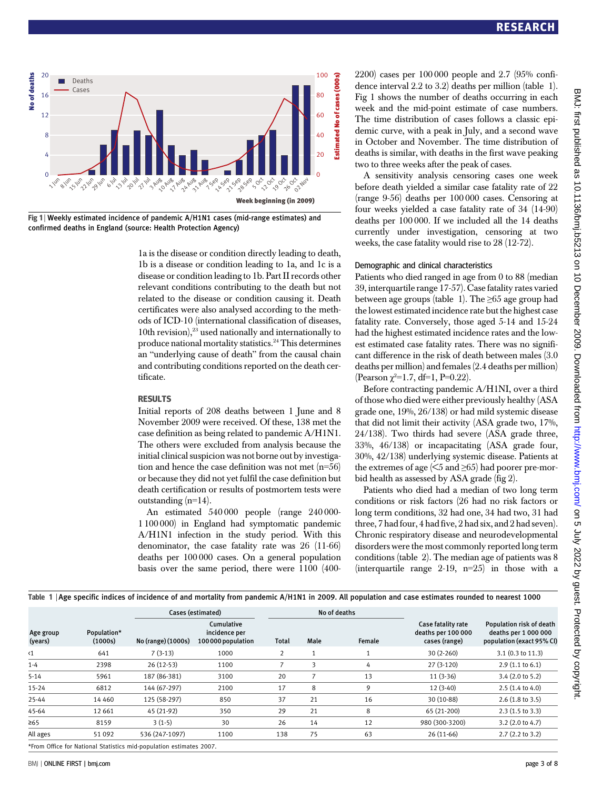

Fig 1 | Weekly estimated incidence of pandemic A/H1N1 cases (mid-range estimates) and confirmed deaths in England (source: Health Protection Agency)

1a is the disease or condition directly leading to death, 1b is a disease or condition leading to 1a, and 1c is a disease or condition leading to 1b. Part II records other relevant conditions contributing to the death but not related to the disease or condition causing it. Death certificates were also analysed according to the methods of ICD-10 (international classification of diseases, 10th revision), $23$  used nationally and internationally to produce national mortality statistics.<sup>24</sup>This determines an "underlying cause of death" from the causal chain and contributing conditions reported on the death certificate.

Initial reports of 208 deaths between 1 June and 8 November 2009 were received. Of these, 138 met the case definition as being related to pandemic A/H1N1. The others were excluded from analysis because the initial clinical suspicion was not borne out by investigation and hence the case definition was not met (n=56) or because they did not yet fulfil the case definition but death certification or results of postmortem tests were outstanding (n=14).

An estimated 540 000 people (range 240 000- 1 100 000) in England had symptomatic pandemic A/H1N1 infection in the study period. With this denominator, the case fatality rate was 26 (11-66) deaths per 100 000 cases. On a general population basis over the same period, there were 1100 (4002200) cases per 100 000 people and 2.7 (95% confidence interval 2.2 to 3.2) deaths per million (table 1). Fig 1 shows the number of deaths occurring in each week and the mid-point estimate of case numbers. The time distribution of cases follows a classic epidemic curve, with a peak in July, and a second wave in October and November. The time distribution of deaths is similar, with deaths in the first wave peaking two to three weeks after the peak of cases.

A sensitivity analysis censoring cases one week before death yielded a similar case fatality rate of 22 (range 9-56) deaths per 100 000 cases. Censoring at four weeks yielded a case fatality rate of 34 (14-90) deaths per 100 000. If we included all the 14 deaths currently under investigation, censoring at two weeks, the case fatality would rise to 28 (12-72).

#### Demographic and clinical characteristics

Patients who died ranged in age from 0 to 88 (median 39, interquartile range 17-57). Case fatality rates varied between age groups (table 1). The  $\geq 65$  age group had the lowest estimated incidence rate but the highest case fatality rate. Conversely, those aged 5-14 and 15-24 had the highest estimated incidence rates and the lowest estimated case fatality rates. There was no significant difference in the risk of death between males (3.0 deaths per million) and females (2.4 deaths per million)  $(Pearson \chi^2=1.7, df=1, P=0.22).$ 

Before contracting pandemic A/H1NI, over a third of those who died were either previously healthy (ASA grade one, 19%, 26/138) or had mild systemic disease that did not limit their activity (ASA grade two, 17%, 24/138). Two thirds had severe (ASA grade three, 33%, 46/138) or incapacitating (ASA grade four, 30%, 42/138) underlying systemic disease. Patients at the extremes of age  $\leq 5$  and  $\geq 65$  had poorer pre-morbid health as assessed by ASA grade (fig 2).

Patients who died had a median of two long term conditions or risk factors (26 had no risk factors or long term conditions, 32 had one, 34 had two, 31 had three, 7 had four, 4 had five, 2 had six, and 2 had seven). Chronic respiratory disease and neurodevelopmental disorders were the most commonly reported long term conditions (table 2). The median age of patients was 8 (interquartile range 2-19, n=25) in those with a

|  |  |  |  |  |  | Table 1  Age specific indices of incidence of and mortality from pandemic A/H1N1 in 2009. All population and case estimates rounded to nearest 1000 |  |  |
|--|--|--|--|--|--|-----------------------------------------------------------------------------------------------------------------------------------------------------|--|--|
|  |  |  |  |  |  |                                                                                                                                                     |  |  |

|                      |                        | Cases (estimated)  |                                                  |              |      | No of deaths |                                                           |                                                                               |
|----------------------|------------------------|--------------------|--------------------------------------------------|--------------|------|--------------|-----------------------------------------------------------|-------------------------------------------------------------------------------|
| Age group<br>(years) | Population*<br>(1000s) | No (range) (1000s) | Cumulative<br>incidence per<br>100000 population | <b>Total</b> | Male | Female       | Case fatality rate<br>deaths per 100 000<br>cases (range) | Population risk of death<br>deaths per 1 000 000<br>population (exact 95% CI) |
| ‹1                   | 641                    | $7(3-13)$          | 1000                                             | 2            |      |              | $30(2-260)$                                               | 3.1(0.3 to 11.3)                                                              |
| $1 - 4$              | 2398                   | $26(12-53)$        | 1100                                             |              | 3    | 4            | $27(3-120)$                                               | $2.9(1.1 \text{ to } 6.1)$                                                    |
| $5 - 14$             | 5961                   | 187 (86-381)       | 3100                                             | 20           |      | 13           | $11(3-36)$                                                | $3.4$ (2.0 to 5.2)                                                            |
| $15 - 24$            | 6812                   | 144 (67-297)       | 2100                                             | 17           | 8    | 9            | $12(3-40)$                                                | $2.5(1.4 \text{ to } 4.0)$                                                    |
| 25-44                | 14 4 6 0               | 125 (58-297)       | 850                                              | 37           | 21   | 16           | 30 (10-88)                                                | $2.6$ (1.8 to 3.5)                                                            |
| 45-64                | 12 6 6 1               | 45 (21-92)         | 350                                              | 29           | 21   | 8            | 65 (21-200)                                               | $2.3(1.5 \text{ to } 3.3)$                                                    |
| $\geq 65$            | 8159                   | $3(1-5)$           | 30                                               | 26           | 14   | 12           | 980 (300-3200)                                            | $3.2$ (2.0 to 4.7)                                                            |
| All ages             | 51 092                 | 536 (247-1097)     | 1100                                             | 138          | 75   | 63           | $26(11-66)$                                               | $2.7(2.2 \text{ to } 3.2)$                                                    |

\*From Office for National Statistics mid-population estimates 2007.

BMJ: first published as 10.1136/bmj.b5213 on 10 December 2009. Downloaded from the://www.bmj.com/ BMJ on 213 on July 2022 or Subished by copyright.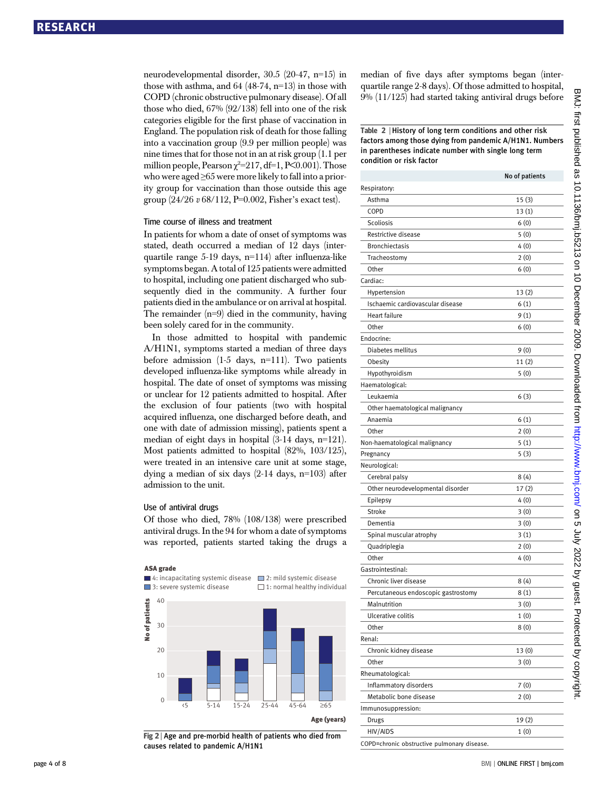neurodevelopmental disorder, 30.5 (20-47, n=15) in those with asthma, and  $64$  (48-74, n=13) in those with COPD (chronic obstructive pulmonary disease). Of all those who died, 67% (92/138) fell into one of the risk categories eligible for the first phase of vaccination in England. The population risk of death for those falling into a vaccination group (9.9 per million people) was nine times that for those not in an at risk group (1.1 per million people,  $\mathrm{Pearson}\chi^2\!\!=\!\!217,\mathrm{df}\!\!=\!\!1,\mathrm{P}\!\!\!<\!\!0.001$ ). Those who were aged ≥65 were more likely to fall into a priority group for vaccination than those outside this age group (24/26 v 68/112, P=0.002, Fisher's exact test).

### Time course of illness and treatment

In patients for whom a date of onset of symptoms was stated, death occurred a median of 12 days (interquartile range 5-19 days, n=114) after influenza-like symptoms began. A total of 125 patients were admitted to hospital, including one patient discharged who subsequently died in the community. A further four patients died in the ambulance or on arrival at hospital. The remainder (n=9) died in the community, having been solely cared for in the community.

In those admitted to hospital with pandemic A/H1N1, symptoms started a median of three days before admission (1-5 days, n=111). Two patients developed influenza-like symptoms while already in hospital. The date of onset of symptoms was missing or unclear for 12 patients admitted to hospital. After the exclusion of four patients (two with hospital acquired influenza, one discharged before death, and one with date of admission missing), patients spent a median of eight days in hospital (3-14 days, n=121). Most patients admitted to hospital (82%, 103/125), were treated in an intensive care unit at some stage, dying a median of six days (2-14 days, n=103) after admission to the unit.

## Use of antiviral drugs

Of those who died, 78% (108/138) were prescribed antiviral drugs. In the 94 for whom a date of symptoms was reported, patients started taking the drugs a

#### ASA grade



Fig 2 <sup>|</sup> Age and pre-morbid health of patients who died from causes related to pandemic A/H1N1

median of five days after symptoms began (interquartile range 2-8 days). Of those admitted to hospital, 9% (11/125) had started taking antiviral drugs before

Table 2 <sup>|</sup> History of long term conditions and other risk factors among those dying from pandemic A/H1N1. Numbers in parentheses indicate number with single long term condition or risk factor

|                                     | No of patients |
|-------------------------------------|----------------|
| Respiratory:                        |                |
| Asthma                              | 15(3)          |
| COPD                                | 13(1)          |
| Scoliosis                           | 6(0)           |
| Restrictive disease                 | 5(0)           |
| <b>Bronchiectasis</b>               | 4 (0)          |
| Tracheostomy                        | 2(0)           |
| Other                               | 6(0)           |
| Cardiac:                            |                |
| Hypertension                        | 13(2)          |
| Ischaemic cardiovascular disease    | 6(1)           |
| <b>Heart failure</b>                | 9 (1)          |
| Other                               | 6(0)           |
| Endocrine:                          |                |
| Diabetes mellitus                   | 9 (0)          |
| Obesity                             | 11(2)          |
| Hypothyroidism                      | 5(0)           |
| Haematological:                     |                |
| Leukaemia                           | 6(3)           |
| Other haematological malignancy     |                |
| Anaemia                             | 6(1)           |
| Other                               | 2(0)           |
| Non-haematological malignancy       | 5(1)           |
| Pregnancy                           | 5(3)           |
| Neurological:                       |                |
| Cerebral palsy                      | 8 (4)          |
| Other neurodevelopmental disorder   | 17(2)          |
| Epilepsy                            | 4 (0)          |
| Stroke                              | 3(0)           |
| Dementia                            | 3(0)           |
| Spinal muscular atrophy             | 3(1)           |
| Quadriplegia                        | 2(0)           |
| Other                               | 4 (0)          |
| Gastrointestinal:                   |                |
| Chronic liver disease               | 8 (4)          |
| Percutaneous endoscopic gastrostomy | 8(1)           |
| Malnutrition                        | 3(0)           |
| Ulcerative colitis                  | 1(0)           |
| Other                               | 8 (0)          |
| Renal:                              |                |
| Chronic kidney disease              | 13 (0)         |
| Other                               | 3(0)           |
| Rheumatological:                    |                |
| Inflammatory disorders              | 7 (0)          |
| Metabolic bone disease              | 2(0)           |
| Immunosuppression:                  |                |
| Drugs                               | 19(2)          |
| HIV/AIDS                            | 1(0)           |
|                                     |                |

COPD=chronic obstructive pulmonary disease.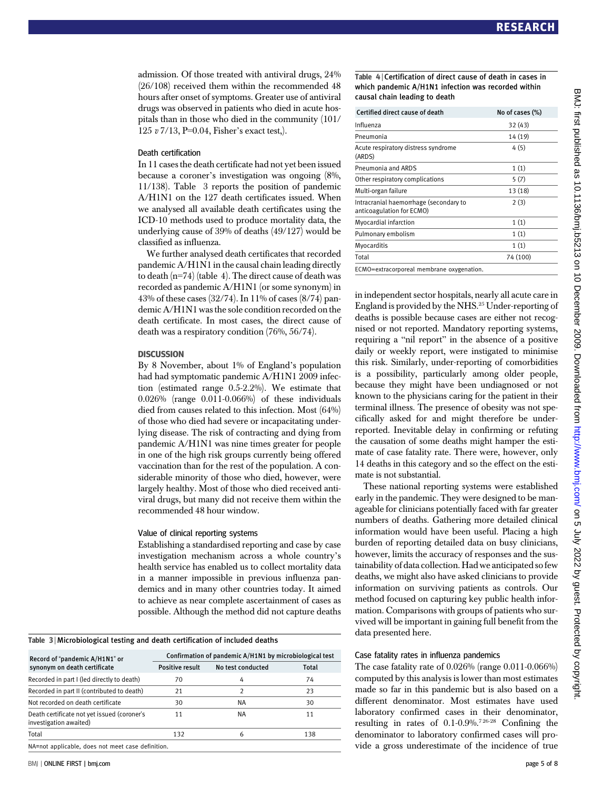admission. Of those treated with antiviral drugs, 24% (26/108) received them within the recommended 48 hours after onset of symptoms. Greater use of antiviral drugs was observed in patients who died in acute hospitals than in those who died in the community (101/ 125 v 7/13, P=0.04, Fisher's exact test,).

#### Death certification

In 11 cases the death certificate had not yet been issued because a coroner's investigation was ongoing (8%, 11/138). Table 3 reports the position of pandemic A/H1N1 on the 127 death certificates issued. When we analysed all available death certificates using the ICD-10 methods used to produce mortality data, the underlying cause of 39% of deaths (49/127) would be classified as influenza.

We further analysed death certificates that recorded pandemic A/H1N1 in the causal chain leading directly to death  $(n=74)$  (table 4). The direct cause of death was recorded as pandemic A/H1N1 (or some synonym) in 43% of these cases (32/74). In 11% of cases (8/74) pandemic A/H1N1 was the sole condition recorded on the death certificate. In most cases, the direct cause of death was a respiratory condition (76%, 56/74).

By 8 November, about 1% of England's population had had symptomatic pandemic A/H1N1 2009 infection (estimated range 0.5-2.2%). We estimate that 0.026% (range 0.011-0.066%) of these individuals died from causes related to this infection. Most (64%) of those who died had severe or incapacitating underlying disease. The risk of contracting and dying from pandemic A/H1N1 was nine times greater for people in one of the high risk groups currently being offered vaccination than for the rest of the population. A considerable minority of those who died, however, were largely healthy. Most of those who died received antiviral drugs, but many did not receive them within the recommended 48 hour window.

#### Value of clinical reporting systems

Establishing a standardised reporting and case by case investigation mechanism across a whole country's health service has enabled us to collect mortality data in a manner impossible in previous influenza pandemics and in many other countries today. It aimed to achieve as near complete ascertainment of cases as possible. Although the method did not capture deaths

Table 3 | Microbiological testing and death certification of included deaths

| Record of "pandemic A/H1N1" or                                        | Confirmation of pandemic A/H1N1 by microbiological test |                   |       |  |  |  |  |
|-----------------------------------------------------------------------|---------------------------------------------------------|-------------------|-------|--|--|--|--|
| synonym on death certificate                                          | <b>Positive result</b>                                  | No test conducted | Total |  |  |  |  |
| Recorded in part I (led directly to death)                            | 70                                                      | 4                 | 74    |  |  |  |  |
| Recorded in part II (contributed to death)                            | 21                                                      | 2                 | 23    |  |  |  |  |
| Not recorded on death certificate                                     | 30                                                      | ΝA                | 30    |  |  |  |  |
| Death certificate not yet issued (coroner's<br>investigation awaited) | 11                                                      | ΝA                | 11    |  |  |  |  |
| Total                                                                 | 132                                                     | 6                 | 138   |  |  |  |  |
| NA=not applicable, does not meet case definition.                     |                                                         |                   |       |  |  |  |  |

Table 4 <sup>|</sup> Certification of direct cause of death in cases in which pandemic A/H1N1 infection was recorded within causal chain leading to death

| Certified direct cause of death                                     | No of cases (%) |
|---------------------------------------------------------------------|-----------------|
| Influenza                                                           | 32(43)          |
| Pneumonia                                                           | 14 (19)         |
| Acute respiratory distress syndrome<br>(ARDS)                       | 4(5)            |
| Pneumonia and ARDS                                                  | 1(1)            |
| Other respiratory complications                                     | 5(7)            |
| Multi-organ failure                                                 | 13 (18)         |
| Intracranial haemorrhage (secondary to<br>anticoagulation for ECMO) | 2(3)            |
| Myocardial infarction                                               | 1(1)            |
| Pulmonary embolism                                                  | 1(1)            |
| Myocarditis                                                         | 1(1)            |
| Total                                                               | 74 (100)        |
| $\blacksquare$                                                      |                 |

ECMO=extracorporeal membrane oxygenation.

in independent sector hospitals, nearly all acute care in England is provided by the NHS.<sup>25</sup> Under-reporting of deaths is possible because cases are either not recognised or not reported. Mandatory reporting systems, requiring a "nil report" in the absence of a positive daily or weekly report, were instigated to minimise this risk. Similarly, under-reporting of comorbidities is a possibility, particularly among older people, because they might have been undiagnosed or not known to the physicians caring for the patient in their terminal illness. The presence of obesity was not specifically asked for and might therefore be underreported. Inevitable delay in confirming or refuting the causation of some deaths might hamper the estimate of case fatality rate. There were, however, only 14 deaths in this category and so the effect on the estimate is not substantial.

These national reporting systems were established early in the pandemic. They were designed to be manageable for clinicians potentially faced with far greater numbers of deaths. Gathering more detailed clinical information would have been useful. Placing a high burden of reporting detailed data on busy clinicians, however, limits the accuracy of responses and the sustainability of data collection. Had we anticipated so few deaths, we might also have asked clinicians to provide information on surviving patients as controls. Our method focused on capturing key public health information. Comparisons with groups of patients who survived will be important in gaining full benefit from the data presented here.

#### Case fatality rates in influenza pandemics

The case fatality rate of 0.026% (range 0.011-0.066%) computed by this analysis is lower than most estimates made so far in this pandemic but is also based on a different denominator. Most estimates have used laboratory confirmed cases in their denominator, resulting in rates of  $0.1 - 0.9\%$ .<sup>726-28</sup> Confining the denominator to laboratory confirmed cases will provide a gross underestimate of the incidence of true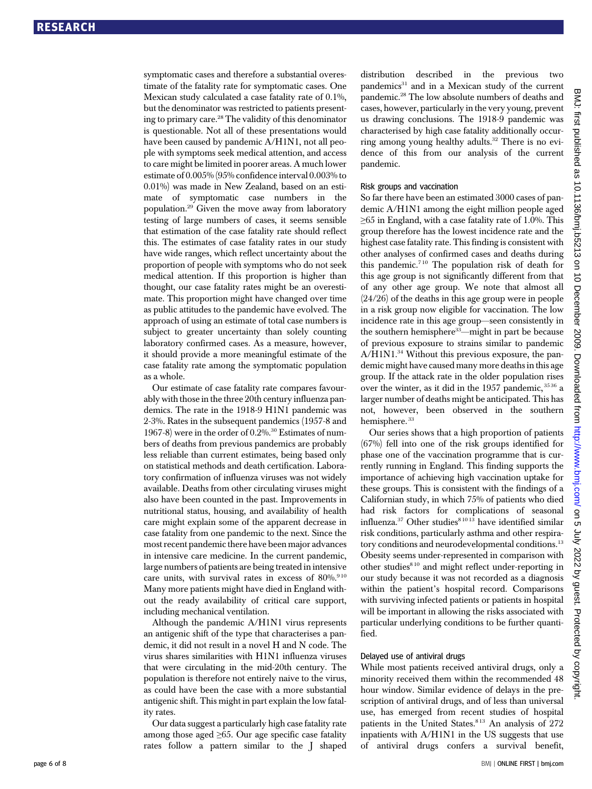symptomatic cases and therefore a substantial overestimate of the fatality rate for symptomatic cases. One Mexican study calculated a case fatality rate of 0.1%, but the denominator was restricted to patients presenting to primary care.28 The validity of this denominator is questionable. Not all of these presentations would have been caused by pandemic A/H1N1, not all people with symptoms seek medical attention, and access to care might be limited in poorer areas. A much lower estimate of 0.005% (95% confidence interval 0.003% to 0.01%) was made in New Zealand, based on an estimate of symptomatic case numbers in the population.29 Given the move away from laboratory testing of large numbers of cases, it seems sensible that estimation of the case fatality rate should reflect this. The estimates of case fatality rates in our study have wide ranges, which reflect uncertainty about the proportion of people with symptoms who do not seek medical attention. If this proportion is higher than thought, our case fatality rates might be an overestimate. This proportion might have changed over time as public attitudes to the pandemic have evolved. The approach of using an estimate of total case numbers is subject to greater uncertainty than solely counting laboratory confirmed cases. As a measure, however, it should provide a more meaningful estimate of the case fatality rate among the symptomatic population as a whole.

Our estimate of case fatality rate compares favourably with those in the three 20th century influenza pandemics. The rate in the 1918-9 H1N1 pandemic was 2-3%. Rates in the subsequent pandemics (1957-8 and 1967-8) were in the order of 0.2%.30 Estimates of numbers of deaths from previous pandemics are probably less reliable than current estimates, being based only on statistical methods and death certification. Laboratory confirmation of influenza viruses was not widely available. Deaths from other circulating viruses might also have been counted in the past. Improvements in nutritional status, housing, and availability of health care might explain some of the apparent decrease in case fatality from one pandemic to the next. Since the most recent pandemic there have been major advances in intensive care medicine. In the current pandemic, large numbers of patients are being treated in intensive care units, with survival rates in excess of  $80\%$ .<sup>910</sup> Many more patients might have died in England without the ready availability of critical care support, including mechanical ventilation.

Although the pandemic A/H1N1 virus represents an antigenic shift of the type that characterises a pandemic, it did not result in a novel H and N code. The virus shares similarities with H1N1 influenza viruses that were circulating in the mid-20th century. The population is therefore not entirely naive to the virus, as could have been the case with a more substantial antigenic shift. This might in part explain the low fatality rates.

Our data suggest a particularly high case fatality rate among those aged  $\geq 65$ . Our age specific case fatality rates follow a pattern similar to the J shaped distribution described in the previous two pandemics $31$  and in a Mexican study of the current pandemic.28 The low absolute numbers of deaths and cases, however, particularly in the very young, prevent us drawing conclusions. The 1918-9 pandemic was characterised by high case fatality additionally occurring among young healthy adults.<sup>32</sup> There is no evidence of this from our analysis of the current pandemic.

#### Risk groups and vaccination

So far there have been an estimated 3000 cases of pandemic A/H1N1 among the eight million people aged  $\geq 65$  in England, with a case fatality rate of 1.0%. This group therefore has the lowest incidence rate and the highest case fatality rate. This finding is consistent with other analyses of confirmed cases and deaths during this pandemic.7 10 The population risk of death for this age group is not significantly different from that of any other age group. We note that almost all (24/26) of the deaths in this age group were in people in a risk group now eligible for vaccination. The low incidence rate in this age group—seen consistently in the southern hemisphere<sup>33</sup>—might in part be because of previous exposure to strains similar to pandemic  $A/H1N1<sup>34</sup>$  Without this previous exposure, the pandemic might have caused many more deaths in this age group. If the attack rate in the older population rises over the winter, as it did in the 1957 pandemic, 3536 a larger number of deaths might be anticipated. This has not, however, been observed in the southern hemisphere.<sup>33</sup>

Our series shows that a high proportion of patients (67%) fell into one of the risk groups identified for phase one of the vaccination programme that is currently running in England. This finding supports the importance of achieving high vaccination uptake for these groups. This is consistent with the findings of a Californian study, in which 75% of patients who died had risk factors for complications of seasonal influenza.<sup>37</sup> Other studies<sup>8 10 13</sup> have identified similar risk conditions, particularly asthma and other respiratory conditions and neurodevelopmental conditions.<sup>13</sup> Obesity seems under-represented in comparison with other studies<sup>810</sup> and might reflect under-reporting in our study because it was not recorded as a diagnosis within the patient's hospital record. Comparisons with surviving infected patients or patients in hospital will be important in allowing the risks associated with particular underlying conditions to be further quantified.

#### Delayed use of antiviral drugs

While most patients received antiviral drugs, only a minority received them within the recommended 48 hour window. Similar evidence of delays in the prescription of antiviral drugs, and of less than universal use, has emerged from recent studies of hospital patients in the United States.<sup>813</sup> An analysis of 272 inpatients with A/H1N1 in the US suggests that use of antiviral drugs confers a survival benefit,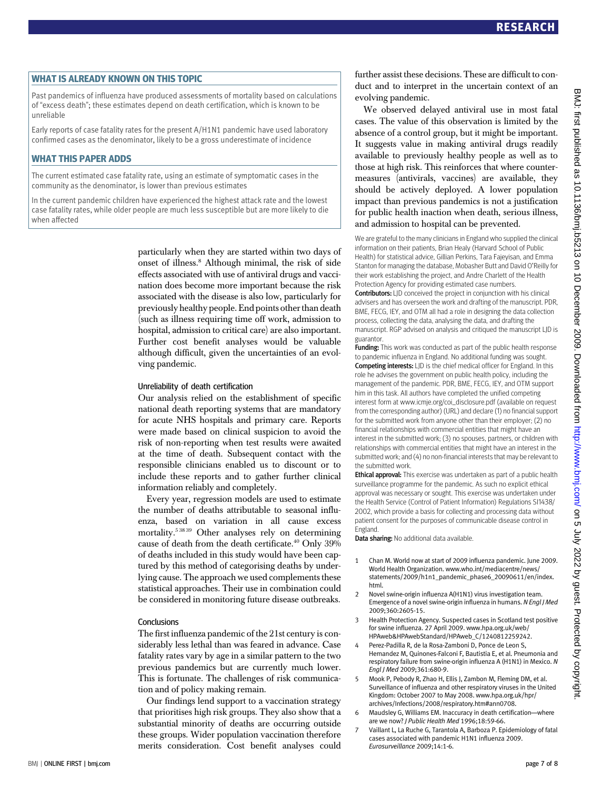WHAT IS ALREADY KNOWN ON THIS TOPIC Past pandemics of influenza have produced assessments of mortality based on calculations of "excess death"; these estimates depend on death certification, which is known to be unreliable

Early reports of case fatality rates for the present A/H1N1 pandemic have used laboratory confirmed cases as the denominator, likely to be a gross underestimate of incidence

# **WHAT THIS PAPER ADDS**

—<br>The current estimated case fatality rate, using an estimate of symptomatic cases in the community as the denominator, is lower than previous estimates

In the current pandemic children have experienced the highest attack rate and the lowest case fatality rates, while older people are much less susceptible but are more likely to die when affected

> particularly when they are started within two days of onset of illness.8 Although minimal, the risk of side effects associated with use of antiviral drugs and vaccination does become more important because the risk associated with the disease is also low, particularly for previously healthy people. End points other than death (such as illness requiring time off work, admission to hospital, admission to critical care) are also important. Further cost benefit analyses would be valuable although difficult, given the uncertainties of an evolving pandemic.

#### Unreliability of death certification

Our analysis relied on the establishment of specific national death reporting systems that are mandatory for acute NHS hospitals and primary care. Reports were made based on clinical suspicion to avoid the risk of non-reporting when test results were awaited at the time of death. Subsequent contact with the responsible clinicians enabled us to discount or to include these reports and to gather further clinical information reliably and completely.

Every year, regression models are used to estimate the number of deaths attributable to seasonal influenza, based on variation in all cause excess mortality.5 38 39 Other analyses rely on determining cause of death from the death certificate.<sup>40</sup> Only 39% of deaths included in this study would have been captured by this method of categorising deaths by underlying cause. The approach we used complements these statistical approaches. Their use in combination could be considered in monitoring future disease outbreaks.

#### **Conclusions**

The first influenza pandemic of the 21st century is considerably less lethal than was feared in advance. Case fatality rates vary by age in a similar pattern to the two previous pandemics but are currently much lower. This is fortunate. The challenges of risk communication and of policy making remain.

Our findings lend support to a vaccination strategy that prioritises high risk groups. They also show that a substantial minority of deaths are occurring outside these groups. Wider population vaccination therefore merits consideration. Cost benefit analyses could further assist these decisions. These are difficult to conduct and to interpret in the uncertain context of an evolving pandemic.

We observed delayed antiviral use in most fatal cases. The value of this observation is limited by the absence of a control group, but it might be important. It suggests value in making antiviral drugs readily available to previously healthy people as well as to those at high risk. This reinforces that where countermeasures (antivirals, vaccines) are available, they should be actively deployed. A lower population impact than previous pandemics is not a justification for public health inaction when death, serious illness, and admission to hospital can be prevented.

We are grateful to the many clinicians in England who supplied the clinical information on their patients, Brian Healy (Harvard School of Public Health) for statistical advice, Gillian Perkins, Tara Fajeyisan, and Emma Stanton for managing the database, Mobasher Butt and David O'Reilly for their work establishing the project, and Andre Charlett of the Health Protection Agency for providing estimated case numbers.

Contributors: LJD conceived the project in conjunction with his clinical advisers and has overseen the work and drafting of the manuscript. PDR, BME, FECG, IEY, and OTM all had a role in designing the data collection process, collecting the data, analysing the data, and drafting the manuscript. RGP advised on analysis and critiqued the manuscript LJD is guarantor.

Funding: This work was conducted as part of the public health response to pandemic influenza in England. No additional funding was sought. Competing interests: LJD is the chief medical officer for England. In this role he advises the government on public health policy, including the management of the pandemic. PDR, BME, FECG, IEY, and OTM support him in this task. All authors have completed the unified competing interest form at www.icmje.org/coi\_disclosure.pdf (available on request from the corresponding author) (URL) and declare (1) no financial support for the submitted work from anyone other than their employer; (2) no financial relationships with commercial entities that might have an interest in the submitted work; (3) no spouses, partners, or children with relationships with commercial entities that might have an interest in the submitted work; and (4) no non-financial interests that may be relevant to the submitted work.

Ethical approval: This exercise was undertaken as part of a public health surveillance programme for the pandemic. As such no explicit ethical approval was necessary or sought. This exercise was undertaken under the Health Service (Control of Patient Information) Regulations SI1438/ 2002, which provide a basis for collecting and processing data without patient consent for the purposes of communicable disease control in England.

Data sharing: No additional data available.

- 1 Chan M. World now at start of 2009 influenza pandemic. June 2009. World Health Organization. www.who.int/mediacentre/news/ statements/2009/h1n1\_pandemic\_phase6\_20090611/en/index. html.
- 2 Novel swine-origin influenza A(H1N1) virus investigation team. Emergence of a novel swine-origin influenza in humans. N Engl J Med 2009;360:2605-15.
- 3 Health Protection Agency. Suspected cases in Scotland test positive for swine influenza. 27 April 2009. www.hpa.org.uk/web/ HPAweb&HPAwebStandard/HPAweb\_C/1240812259242.
- 4 Perez-Padilla R, de la Rosa-Zamboni D, Ponce de Leon S, Hernandez M, Quinones-Falconi F, Bautistia E, et al. Pneumonia and respiratory failure from swine-origin influenza A (H1N1) in Mexico. N Engl J Med 2009;361:680-9.
- 5 Mook P, Pebody R, Zhao H, Ellis J, Zambon M, Fleming DM, et al. Surveillance of influenza and other respiratory viruses in the United Kingdom: October 2007 to May 2008. www.hpa.org.uk/hpr/ archives/Infections/2008/respiratory.htm#ann0708.
- 6 Maudsley G, Williams EM. Inaccuracy in death certification—where are we now? J Public Health Med 1996;18:59-66.
- 7 Vaillant L, La Ruche G, Tarantola A, Barboza P. Epidemiology of fatal cases associated with pandemic H1N1 influenza 2009. Eurosurveillance 2009;14:1-6.